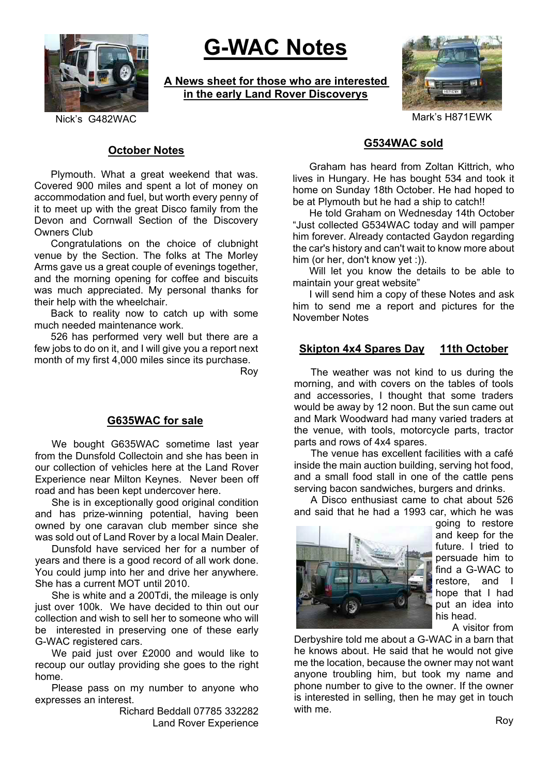

# **G-WAC Notes**

**A News sheet for those who are interested in the early Land Rover Discoverys**



### **October Notes**

Plymouth. What a great weekend that was. Covered 900 miles and spent a lot of money on accommodation and fuel, but worth every penny of it to meet up with the great Disco family from the Devon and Cornwall Section of the Discovery Owners Club

Congratulations on the choice of clubnight venue by the Section. The folks at The Morley Arms gave us a great couple of evenings together, and the morning opening for coffee and biscuits was much appreciated. My personal thanks for their help with the wheelchair.

Back to reality now to catch up with some much needed maintenance work.

526 has performed very well but there are a few jobs to do on it, and I will give you a report next month of my first 4,000 miles since its purchase.

Roy

## **G635WAC for sale**

We bought G635WAC sometime last year from the Dunsfold Collectoin and she has been in our collection of vehicles here at the Land Rover Experience near Milton Keynes. Never been off road and has been kept undercover here.

She is in exceptionally good original condition and has prize-winning potential, having been owned by one caravan club member since she was sold out of Land Rover by a local Main Dealer.

Dunsfold have serviced her for a number of years and there is a good record of all work done. You could jump into her and drive her anywhere. She has a current MOT until 2010.

She is white and a 200Tdi, the mileage is only just over 100k. We have decided to thin out our collection and wish to sell her to someone who will be interested in preserving one of these early G-WAC registered cars.

We paid just over £2000 and would like to recoup our outlay providing she goes to the right home.

Please pass on my number to anyone who expresses an interest.

> Richard Beddall 07785 332282 Land Rover Experience

## **G534WAC sold**

Graham has heard from Zoltan Kittrich, who lives in Hungary. He has bought 534 and took it home on Sunday 18th October. He had hoped to be at Plymouth but he had a ship to catch!!

He told Graham on Wednesday 14th October "Just collected G534WAC today and will pamper him forever. Already contacted Gaydon regarding the car's history and can't wait to know more about him (or her, don't know yet :)).

Will let you know the details to be able to maintain your great website"

I will send him a copy of these Notes and ask him to send me a report and pictures for the November Notes

### **Skipton 4x4 Spares Day 11th October**

The weather was not kind to us during the morning, and with covers on the tables of tools and accessories, I thought that some traders would be away by 12 noon. But the sun came out and Mark Woodward had many varied traders at the venue, with tools, motorcycle parts, tractor parts and rows of 4x4 spares.

The venue has excellent facilities with a café inside the main auction building, serving hot food, and a small food stall in one of the cattle pens serving bacon sandwiches, burgers and drinks.

A Disco enthusiast came to chat about 526 and said that he had a 1993 car, which he was



going to restore and keep for the future. I tried to persuade him to find a G-WAC to restore, and I hope that I had put an idea into his head.

A visitor from

Derbyshire told me about a G-WAC in a barn that he knows about. He said that he would not give me the location, because the owner may not want anyone troubling him, but took my name and phone number to give to the owner. If the owner is interested in selling, then he may get in touch with me.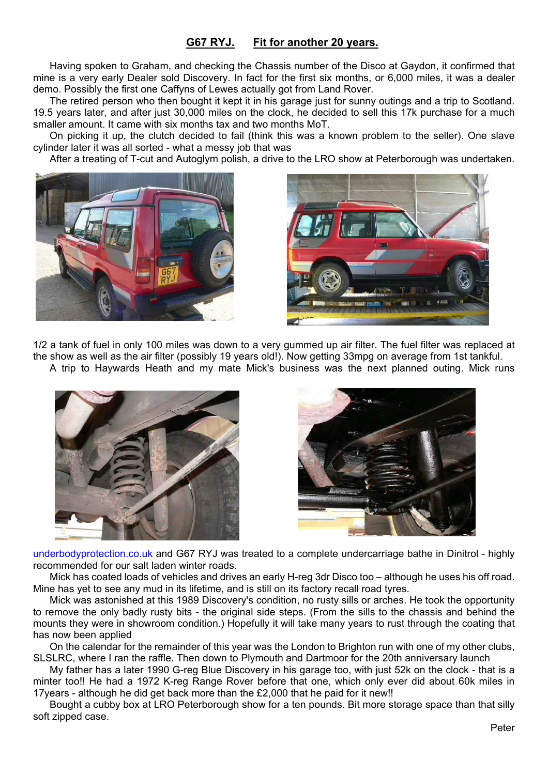## **G67 RYJ. Fit for another 20 years.**

Having spoken to Graham, and checking the Chassis number of the Disco at Gaydon, it confirmed that mine is a very early Dealer sold Discovery. In fact for the first six months, or 6,000 miles, it was a dealer demo. Possibly the first one Caffyns of Lewes actually got from Land Rover.

The retired person who then bought it kept it in his garage just for sunny outings and a trip to Scotland. 19.5 years later, and after just 30,000 miles on the clock, he decided to sell this 17k purchase for a much smaller amount. It came with six months tax and two months MoT.

On picking it up, the clutch decided to fail (think this was a known problem to the seller). One slave cylinder later it was all sorted - what a messy job that was

After a treating of T-cut and Autoglym polish, a drive to the LRO show at Peterborough was undertaken.





1/2 a tank of fuel in only 100 miles was down to a very gummed up air filter. The fuel filter was replaced at the show as well as the air filter (possibly 19 years old!). Now getting 33mpg on average from 1st tankful. A trip to Haywards Heath and my mate Mick's business was the next planned outing. Mick runs





underbodyprotection.co.uk and G67 RYJ was treated to a complete undercarriage bathe in Dinitrol - highly recommended for our salt laden winter roads.

Mick has coated loads of vehicles and drives an early H-reg 3dr Disco too – although he uses his off road. Mine has yet to see any mud in its lifetime, and is still on its factory recall road tyres.

Mick was astonished at this 1989 Discovery's condition, no rusty sills or arches. He took the opportunity to remove the only badly rusty bits - the original side steps. (From the sills to the chassis and behind the mounts they were in showroom condition.) Hopefully it will take many years to rust through the coating that has now been applied

On the calendar for the remainder of this year was the London to Brighton run with one of my other clubs, SLSLRC, where I ran the raffle. Then down to Plymouth and Dartmoor for the 20th anniversary launch

My father has a later 1990 G-reg Blue Discovery in his garage too, with just 52k on the clock - that is a minter too!! He had a 1972 K-reg Range Rover before that one, which only ever did about 60k miles in 17years - although he did get back more than the £2,000 that he paid for it new!!

Bought a cubby box at LRO Peterborough show for a ten pounds. Bit more storage space than that silly soft zipped case.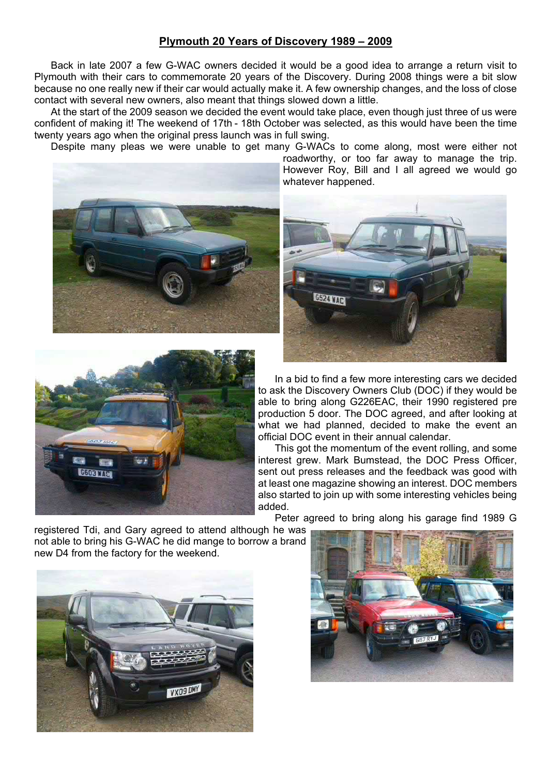### **Plymouth 20 Years of Discovery 1989 – 2009**

Back in late 2007 a few G-WAC owners decided it would be a good idea to arrange a return visit to Plymouth with their cars to commemorate 20 years of the Discovery. During 2008 things were a bit slow because no one really new if their car would actually make it. A few ownership changes, and the loss of close contact with several new owners, also meant that things slowed down a little.

At the start of the 2009 season we decided the event would take place, even though just three of us were confident of making it! The weekend of 17th - 18th October was selected, as this would have been the time twenty years ago when the original press launch was in full swing.

Despite many pleas we were unable to get many G-WACs to come along, most were either not





roadworthy, or too far away to manage the trip. However Roy, Bill and I all agreed we would go whatever happened.



In a bid to find a few more interesting cars we decided to ask the Discovery Owners Club (DOC) if they would be able to bring along G226EAC, their 1990 registered pre production 5 door. The DOC agreed, and after looking at what we had planned, decided to make the event an official DOC event in their annual calendar.

This got the momentum of the event rolling, and some interest grew. Mark Bumstead, the DOC Press Officer, sent out press releases and the feedback was good with at least one magazine showing an interest. DOC members also started to join up with some interesting vehicles being added.

Peter agreed to bring along his garage find 1989 G

registered Tdi, and Gary agreed to attend although he was not able to bring his G-WAC he did mange to borrow a brand new D4 from the factory for the weekend.



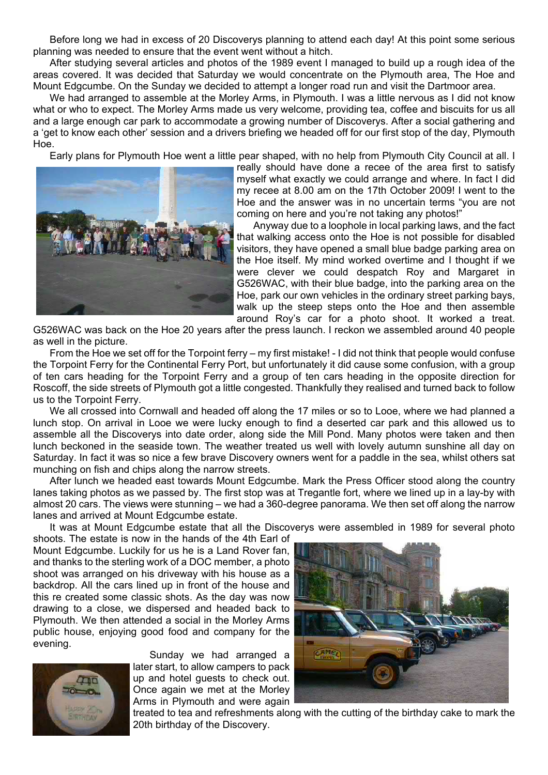Before long we had in excess of 20 Discoverys planning to attend each day! At this point some serious planning was needed to ensure that the event went without a hitch.

After studying several articles and photos of the 1989 event I managed to build up a rough idea of the areas covered. It was decided that Saturday we would concentrate on the Plymouth area, The Hoe and Mount Edgcumbe. On the Sunday we decided to attempt a longer road run and visit the Dartmoor area.

We had arranged to assemble at the Morley Arms, in Plymouth. I was a little nervous as I did not know what or who to expect. The Morley Arms made us very welcome, providing tea, coffee and biscuits for us all and a large enough car park to accommodate a growing number of Discoverys. After a social gathering and a 'get to know each other' session and a drivers briefing we headed off for our first stop of the day, Plymouth Hoe.

Early plans for Plymouth Hoe went a little pear shaped, with no help from Plymouth City Council at all. I



really should have done a recee of the area first to satisfy myself what exactly we could arrange and where. In fact I did my recee at 8.00 am on the 17th October 2009! I went to the Hoe and the answer was in no uncertain terms "you are not coming on here and you're not taking any photos!"

Anyway due to a loophole in local parking laws, and the fact that walking access onto the Hoe is not possible for disabled visitors, they have opened a small blue badge parking area on the Hoe itself. My mind worked overtime and I thought if we were clever we could despatch Roy and Margaret in G526WAC, with their blue badge, into the parking area on the Hoe, park our own vehicles in the ordinary street parking bays, walk up the steep steps onto the Hoe and then assemble around Roy's car for a photo shoot. It worked a treat.

G526WAC was back on the Hoe 20 years after the press launch. I reckon we assembled around 40 people as well in the picture.

From the Hoe we set off for the Torpoint ferry – my first mistake! - I did not think that people would confuse the Torpoint Ferry for the Continental Ferry Port, but unfortunately it did cause some confusion, with a group of ten cars heading for the Torpoint Ferry and a group of ten cars heading in the opposite direction for Roscoff, the side streets of Plymouth got a little congested. Thankfully they realised and turned back to follow us to the Torpoint Ferry.

We all crossed into Cornwall and headed off along the 17 miles or so to Looe, where we had planned a lunch stop. On arrival in Looe we were lucky enough to find a deserted car park and this allowed us to assemble all the Discoverys into date order, along side the Mill Pond. Many photos were taken and then lunch beckoned in the seaside town. The weather treated us well with lovely autumn sunshine all day on Saturday. In fact it was so nice a few brave Discovery owners went for a paddle in the sea, whilst others sat munching on fish and chips along the narrow streets.

After lunch we headed east towards Mount Edgcumbe. Mark the Press Officer stood along the country lanes taking photos as we passed by. The first stop was at Tregantle fort, where we lined up in a lay-by with almost 20 cars. The views were stunning – we had a 360-degree panorama. We then set off along the narrow lanes and arrived at Mount Edgcumbe estate.

It was at Mount Edgcumbe estate that all the Discoverys were assembled in 1989 for several photo

shoots. The estate is now in the hands of the 4th Earl of Mount Edgcumbe. Luckily for us he is a Land Rover fan, and thanks to the sterling work of a DOC member, a photo shoot was arranged on his driveway with his house as a backdrop. All the cars lined up in front of the house and this re created some classic shots. As the day was now drawing to a close, we dispersed and headed back to Plymouth. We then attended a social in the Morley Arms public house, enjoying good food and company for the evening.

Sunday we had arranged a later start, to allow campers to pack up and hotel guests to check out. Once again we met at the Morley Arms in Plymouth and were again





treated to tea and refreshments along with the cutting of the birthday cake to mark the 20th birthday of the Discovery.